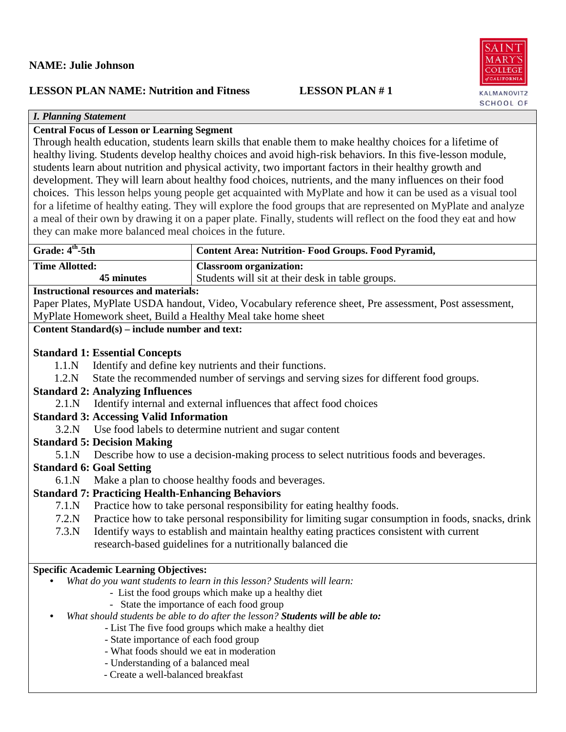# **NAME: Julie Johnson**

# **LESSON PLAN NAME: Nutrition and Fitness LESSON PLAN # 1**

COLLEGE **CALIFORNI** KALMANOVITZ **SCHOOL OF** 

. A I N  $MARY$ 

# *I. Planning Statement*

# **Central Focus of Lesson or Learning Segment**

Through health education, students learn skills that enable them to make healthy choices for a lifetime of healthy living. Students develop healthy choices and avoid high-risk behaviors. In this five-lesson module, students learn about nutrition and physical activity, two important factors in their healthy growth and development. They will learn about healthy food choices, nutrients, and the many influences on their food choices. This lesson helps young people get acquainted with MyPlate and how it can be used as a visual tool for a lifetime of healthy eating. They will explore the food groups that are represented on MyPlate and analyze a meal of their own by drawing it on a paper plate. Finally, students will reflect on the food they eat and how they can make more balanced meal choices in the future.

| Grade: 4 <sup>th</sup> -5th | <b>Content Area: Nutrition- Food Groups. Food Pyramid,</b> |
|-----------------------------|------------------------------------------------------------|
| <b>Time Allotted:</b>       | <b>Classroom organization:</b>                             |
| 45 minutes                  | Students will sit at their desk in table groups.           |
|                             |                                                            |

### **Instructional resources and materials:**

Paper Plates, MyPlate USDA handout, Video, Vocabulary reference sheet, Pre assessment, Post assessment, MyPlate Homework sheet, Build a Healthy Meal take home sheet

## **Content Standard(s) – include number and text:**

## **Standard 1: Essential Concepts**

- 1.1.N Identify and define key nutrients and their functions.
- 1.2.N State the recommended number of servings and serving sizes for different food groups.

## **Standard 2: Analyzing Influences**

2.1.N Identify internal and external influences that affect food choices

# **Standard 3: Accessing Valid Information**

3.2.N Use food labels to determine nutrient and sugar content

## **Standard 5: Decision Making**

5.1.N Describe how to use a decision-making process to select nutritious foods and beverages.

# **Standard 6: Goal Setting**

6.1.N Make a plan to choose healthy foods and beverages.

# **Standard 7: Practicing Health-Enhancing Behaviors**

- 7.1.N Practice how to take personal responsibility for eating healthy foods.
- 7.2.N Practice how to take personal responsibility for limiting sugar consumption in foods, snacks, drink
- 7.3.N Identify ways to establish and maintain healthy eating practices consistent with current research-based guidelines for a nutritionally balanced die

# **Specific Academic Learning Objectives:**

- *What do you want students to learn in this lesson? Students will learn:*
	- List the food groups which make up a healthy diet
	- State the importance of each food group
- *What should students be able to do after the lesson? Students will be able to:*
	- List The five food groups which make a healthy diet
	- State importance of each food group
	- What foods should we eat in moderation
	- Understanding of a balanced meal
	- Create a well-balanced breakfast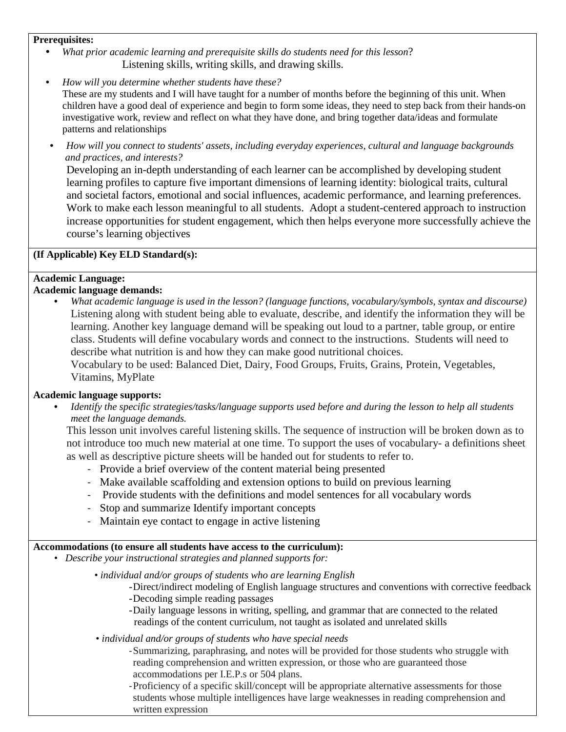#### **Prerequisites:**

- *What prior academic learning and prerequisite skills do students need for this lesson*? Listening skills, writing skills, and drawing skills.
- *How will you determine whether students have these?* These are my students and I will have taught for a number of months before the beginning of this unit. When children have a good deal of experience and begin to form some ideas, they need to step back from their hands-on investigative work, review and reflect on what they have done, and bring together data/ideas and formulate patterns and relationships
- *How will you connect to students' assets, including everyday experiences, cultural and language backgrounds and practices, and interests?*

Developing an in-depth understanding of each learner can be accomplished by developing student learning profiles to capture five important dimensions of learning identity: biological traits, cultural and societal factors, emotional and social influences, academic performance, and learning preferences. Work to make each lesson meaningful to all students. Adopt a student-centered approach to instruction increase opportunities for student engagement, which then helps everyone more successfully achieve the course's learning objectives

#### **(If Applicable) Key ELD Standard(s):**

# **Academic Language:**

### **Academic language demands:**

• *What academic language is used in the lesson? (language functions, vocabulary/symbols, syntax and discourse)* Listening along with student being able to evaluate, describe, and identify the information they will be learning. Another key language demand will be speaking out loud to a partner, table group, or entire class. Students will define vocabulary words and connect to the instructions. Students will need to describe what nutrition is and how they can make good nutritional choices.

Vocabulary to be used: Balanced Diet, Dairy, Food Groups, Fruits, Grains, Protein, Vegetables, Vitamins, MyPlate

#### **Academic language supports:**

• *Identify the specific strategies/tasks/language supports used before and during the lesson to help all students meet the language demands.* 

This lesson unit involves careful listening skills. The sequence of instruction will be broken down as to not introduce too much new material at one time. To support the uses of vocabulary- a definitions sheet as well as descriptive picture sheets will be handed out for students to refer to.

- Provide a brief overview of the content material being presented
- Make available scaffolding and extension options to build on previous learning
- Provide students with the definitions and model sentences for all vocabulary words
- Stop and summarize Identify important concepts
- Maintain eye contact to engage in active listening

#### **Accommodations (to ensure all students have access to the curriculum):**

- *Describe your instructional strategies and planned supports for:*
	- *individual and/or groups of students who are learning English*
		- -Direct/indirect modeling of English language structures and conventions with corrective feedback -Decoding simple reading passages
		- -Daily language lessons in writing, spelling, and grammar that are connected to the related readings of the content curriculum, not taught as isolated and unrelated skills
	- *individual and/or groups of students who have special needs*
		- -Summarizing, paraphrasing, and notes will be provided for those students who struggle with reading comprehension and written expression, or those who are guaranteed those accommodations per I.E.P.s or 504 plans.

-Proficiency of a specific skill/concept will be appropriate alternative assessments for those students whose multiple intelligences have large weaknesses in reading comprehension and written expression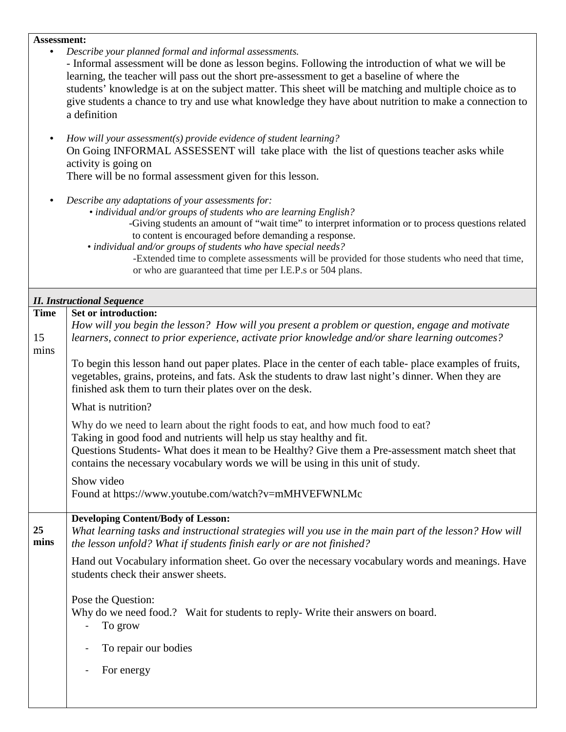# **Assessment:**

| $\bullet$         | Describe your planned formal and informal assessments.<br>- Informal assessment will be done as lesson begins. Following the introduction of what we will be<br>learning, the teacher will pass out the short pre-assessment to get a baseline of where the<br>students' knowledge is at on the subject matter. This sheet will be matching and multiple choice as to<br>give students a chance to try and use what knowledge they have about nutrition to make a connection to<br>a definition<br>How will your assessment(s) provide evidence of student learning?<br>On Going INFORMAL ASSESSENT will take place with the list of questions teacher asks while<br>activity is going on<br>There will be no formal assessment given for this lesson.<br>Describe any adaptations of your assessments for:<br>· individual and/or groups of students who are learning English?<br>-Giving students an amount of "wait time" to interpret information or to process questions related<br>to content is encouraged before demanding a response.<br>• individual and/or groups of students who have special needs?<br>-Extended time to complete assessments will be provided for those students who need that time, |
|-------------------|--------------------------------------------------------------------------------------------------------------------------------------------------------------------------------------------------------------------------------------------------------------------------------------------------------------------------------------------------------------------------------------------------------------------------------------------------------------------------------------------------------------------------------------------------------------------------------------------------------------------------------------------------------------------------------------------------------------------------------------------------------------------------------------------------------------------------------------------------------------------------------------------------------------------------------------------------------------------------------------------------------------------------------------------------------------------------------------------------------------------------------------------------------------------------------------------------------------------|
|                   | or who are guaranteed that time per I.E.P.s or 504 plans.                                                                                                                                                                                                                                                                                                                                                                                                                                                                                                                                                                                                                                                                                                                                                                                                                                                                                                                                                                                                                                                                                                                                                          |
|                   | <b>II. Instructional Sequence</b>                                                                                                                                                                                                                                                                                                                                                                                                                                                                                                                                                                                                                                                                                                                                                                                                                                                                                                                                                                                                                                                                                                                                                                                  |
| <b>Time</b><br>15 | Set or introduction:<br>How will you begin the lesson? How will you present a problem or question, engage and motivate<br>learners, connect to prior experience, activate prior knowledge and/or share learning outcomes?                                                                                                                                                                                                                                                                                                                                                                                                                                                                                                                                                                                                                                                                                                                                                                                                                                                                                                                                                                                          |
| mins              | To begin this lesson hand out paper plates. Place in the center of each table- place examples of fruits,<br>vegetables, grains, proteins, and fats. Ask the students to draw last night's dinner. When they are<br>finished ask them to turn their plates over on the desk.                                                                                                                                                                                                                                                                                                                                                                                                                                                                                                                                                                                                                                                                                                                                                                                                                                                                                                                                        |
|                   | What is nutrition?                                                                                                                                                                                                                                                                                                                                                                                                                                                                                                                                                                                                                                                                                                                                                                                                                                                                                                                                                                                                                                                                                                                                                                                                 |
|                   | Why do we need to learn about the right foods to eat, and how much food to eat?<br>Taking in good food and nutrients will help us stay healthy and fit.<br>Questions Students- What does it mean to be Healthy? Give them a Pre-assessment match sheet that<br>contains the necessary vocabulary words we will be using in this unit of study.                                                                                                                                                                                                                                                                                                                                                                                                                                                                                                                                                                                                                                                                                                                                                                                                                                                                     |
|                   | Show video<br>Found at https://www.youtube.com/watch?v=mMHVEFWNLMc                                                                                                                                                                                                                                                                                                                                                                                                                                                                                                                                                                                                                                                                                                                                                                                                                                                                                                                                                                                                                                                                                                                                                 |
| 25<br>mins        | <b>Developing Content/Body of Lesson:</b><br>What learning tasks and instructional strategies will you use in the main part of the lesson? How will<br>the lesson unfold? What if students finish early or are not finished?                                                                                                                                                                                                                                                                                                                                                                                                                                                                                                                                                                                                                                                                                                                                                                                                                                                                                                                                                                                       |
|                   | Hand out Vocabulary information sheet. Go over the necessary vocabulary words and meanings. Have<br>students check their answer sheets.                                                                                                                                                                                                                                                                                                                                                                                                                                                                                                                                                                                                                                                                                                                                                                                                                                                                                                                                                                                                                                                                            |
|                   | Pose the Question:<br>Why do we need food.? Wait for students to reply-Write their answers on board.<br>To grow                                                                                                                                                                                                                                                                                                                                                                                                                                                                                                                                                                                                                                                                                                                                                                                                                                                                                                                                                                                                                                                                                                    |
|                   | To repair our bodies                                                                                                                                                                                                                                                                                                                                                                                                                                                                                                                                                                                                                                                                                                                                                                                                                                                                                                                                                                                                                                                                                                                                                                                               |
|                   | For energy                                                                                                                                                                                                                                                                                                                                                                                                                                                                                                                                                                                                                                                                                                                                                                                                                                                                                                                                                                                                                                                                                                                                                                                                         |
|                   |                                                                                                                                                                                                                                                                                                                                                                                                                                                                                                                                                                                                                                                                                                                                                                                                                                                                                                                                                                                                                                                                                                                                                                                                                    |